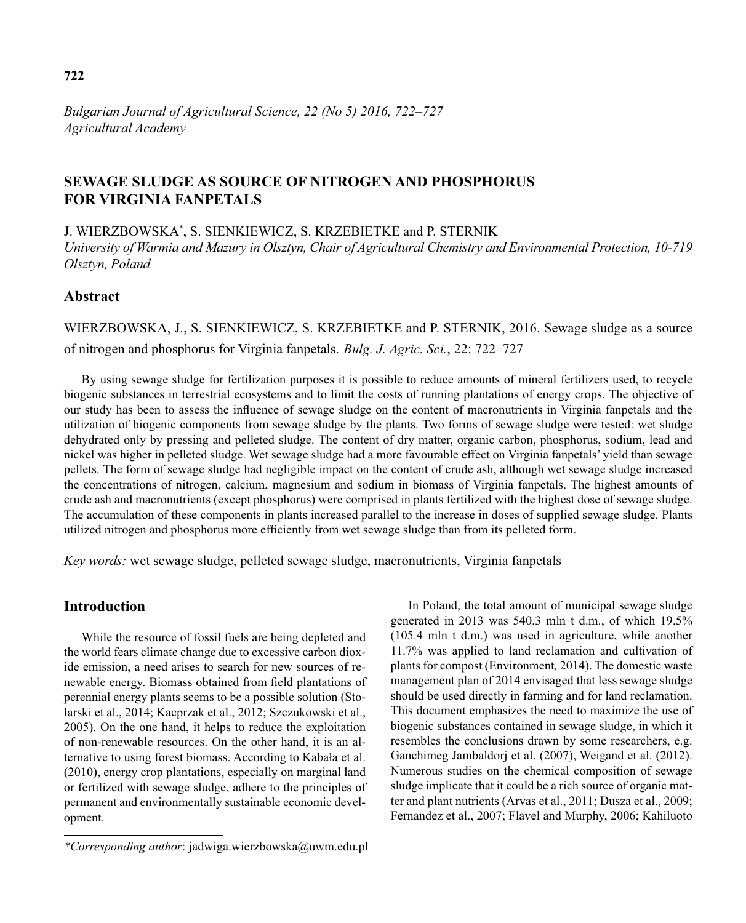*Bulgarian Journal of Agricultural Science, 22 (No 5) 2016, 722–727 Agricultural Academy*

# **SEWAGE SLUDGE AS SOURCE OF NITROGEN AND PHOSPHORUS FOR VIRGINIA FANPETALS**

J. WIERZBOWSKA\* , S. SIENKIEWICZ, S. KRZEBIETKE and P. STERNIK

*University of Warmia and Mazury in Olsztyn, Chair of Agricultural Chemistry and Environmental Protection, 10-719 Olsztyn, Poland*

## **Abstract**

WIERZBOWSKA, J., S. SIENKIEWICZ, S. KRZEBIETKE and P. STERNIK, 2016. Sewage sludge as a source of nitrogen and phosphorus for Virginia fanpetals. *Bulg. J. Agric. Sci.*, 22: 722–727

By using sewage sludge for fertilization purposes it is possible to reduce amounts of mineral fertilizers used, to recycle biogenic substances in terrestrial ecosystems and to limit the costs of running plantations of energy crops. The objective of our study has been to assess the influence of sewage sludge on the content of macronutrients in Virginia fanpetals and the utilization of biogenic components from sewage sludge by the plants. Two forms of sewage sludge were tested: wet sludge dehydrated only by pressing and pelleted sludge. The content of dry matter, organic carbon, phosphorus, sodium, lead and nickel was higher in pelleted sludge. Wet sewage sludge had a more favourable effect on Virginia fanpetals' yield than sewage pellets. The form of sewage sludge had negligible impact on the content of crude ash, although wet sewage sludge increased the concentrations of nitrogen, calcium, magnesium and sodium in biomass of Virginia fanpetals. The highest amounts of crude ash and macronutrients (except phosphorus) were comprised in plants fertilized with the highest dose of sewage sludge. The accumulation of these components in plants increased parallel to the increase in doses of supplied sewage sludge. Plants utilized nitrogen and phosphorus more efficiently from wet sewage sludge than from its pelleted form.

*Key words:* wet sewage sludge, pelleted sewage sludge, macronutrients, Virginia fanpetals

### **Introduction**

While the resource of fossil fuels are being depleted and the world fears climate change due to excessive carbon dioxide emission, a need arises to search for new sources of renewable energy. Biomass obtained from field plantations of perennial energy plants seems to be a possible solution (Stolarski et al., 2014; Kacprzak et al., 2012; Szczukowski et al., 2005). On the one hand, it helps to reduce the exploitation of non-renewable resources. On the other hand, it is an alternative to using forest biomass. According to Kabała et al. (2010), energy crop plantations, especially on marginal land or fertilized with sewage sludge, adhere to the principles of permanent and environmentally sustainable economic development.

*\*Corresponding author*: jadwiga.wierzbowska@uwm.edu.pl

In Poland, the total amount of municipal sewage sludge generated in 2013 was 540.3 mln t d.m., of which 19.5% (105.4 mln t d.m.) was used in agriculture, while another 11.7% was applied to land reclamation and cultivation of plants for compost (Environment*,* 2014). The domestic waste management plan of 2014 envisaged that less sewage sludge should be used directly in farming and for land reclamation. This document emphasizes the need to maximize the use of biogenic substances contained in sewage sludge, in which it resembles the conclusions drawn by some researchers, e.g. Ganchimeg Jambaldorj et al. (2007), Weigand et al. (2012). Numerous studies on the chemical composition of sewage sludge implicate that it could be a rich source of organic matter and plant nutrients (Arvas et al., 2011; Dusza et al., 2009; Fernandez et al., 2007; Flavel and Murphy, 2006; Kahiluoto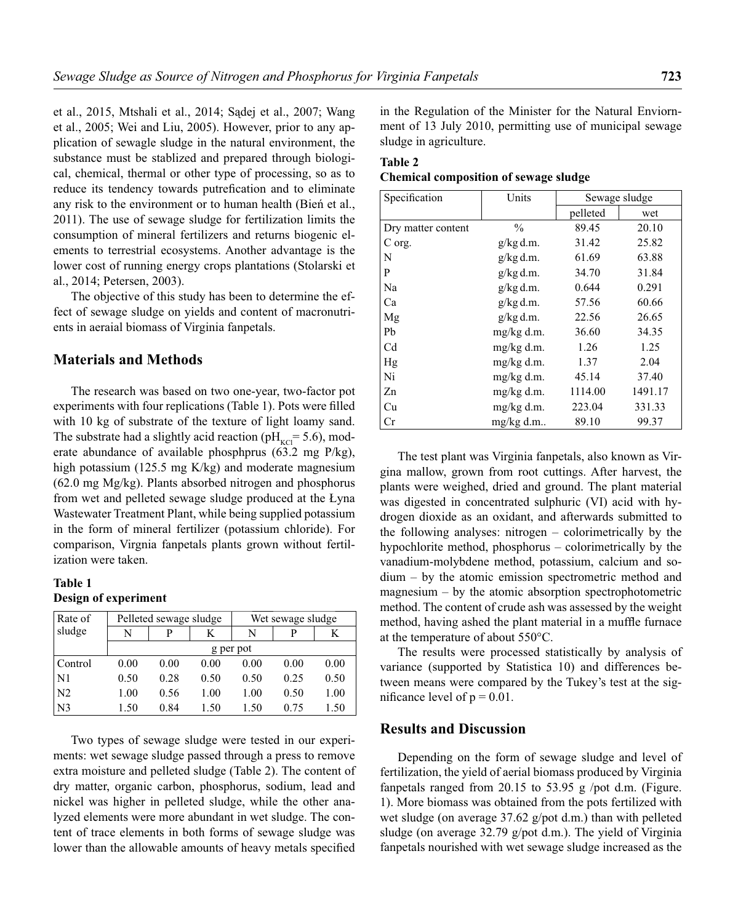et al., 2015, Mtshali et al., 2014; Sądej et al., 2007; Wang et al., 2005; Wei and Liu, 2005). However, prior to any application of sewagle sludge in the natural environment, the substance must be stablized and prepared through biological, chemical, thermal or other type of processing, so as to reduce its tendency towards putrefication and to eliminate any risk to the environment or to human health (Bień et al., 2011). The use of sewage sludge for fertilization limits the consumption of mineral fertilizers and returns biogenic elements to terrestrial ecosystems. Another advantage is the lower cost of running energy crops plantations (Stolarski et al., 2014; Petersen, 2003).

The objective of this study has been to determine the effect of sewage sludge on yields and content of macronutrients in aeraial biomass of Virginia fanpetals.

#### **Materials and Methods**

The research was based on two one-year, two-factor pot experiments with four replications (Table 1). Pots were filled with 10 kg of substrate of the texture of light loamy sand. The substrate had a slightly acid reaction ( $pH_{\text{KCl}}$ = 5.6), moderate abundance of available phosphprus (63.2 mg P/kg), high potassium (125.5 mg K/kg) and moderate magnesium (62.0 mg Mg/kg). Plants absorbed nitrogen and phosphorus from wet and pelleted sewage sludge produced at the Łyna Wastewater Treatment Plant, while being supplied potassium in the form of mineral fertilizer (potassium chloride). For comparison, Virgnia fanpetals plants grown without fertilization were taken.

## **Table 1 Design of experiment**

| Rate of             | Pelleted sewage sludge |      |      | Wet sewage sludge |      |      |
|---------------------|------------------------|------|------|-------------------|------|------|
| sludge              | N                      | D    |      | N                 |      |      |
|                     | g per pot              |      |      |                   |      |      |
| Control             | 0.00                   | 0.00 | 0.00 | 0.00              | 0.00 | 0.00 |
| N1                  | 0.50                   | 0.28 | 0.50 | 0.50              | 0.25 | 0.50 |
| $\overline{\rm N2}$ | 1.00                   | 0.56 | 1.00 | 1.00              | 0.50 | 1.00 |
| N <sub>3</sub>      | 1.50                   | 0.84 | 1.50 | 1.50              | 0.75 | 1.50 |

Two types of sewage sludge were tested in our experiments: wet sewage sludge passed through a press to remove extra moisture and pelleted sludge (Table 2). The content of dry matter, organic carbon, phosphorus, sodium, lead and nickel was higher in pelleted sludge, while the other analyzed elements were more abundant in wet sludge. The content of trace elements in both forms of sewage sludge was lower than the allowable amounts of heavy metals specified

in the Regulation of the Minister for the Natural Enviornment of 13 July 2010, permitting use of municipal sewage sludge in agriculture.

| Table 2                                      |  |
|----------------------------------------------|--|
| <b>Chemical composition of sewage sludge</b> |  |

| Specification      | Units         | Sewage sludge |         |
|--------------------|---------------|---------------|---------|
|                    |               | pelleted      | wet     |
| Dry matter content | $\frac{0}{0}$ | 89.45         | 20.10   |
| C org.             | $g/kg$ d.m.   | 31.42         | 25.82   |
| N                  | $g/kg$ d.m.   | 61.69         | 63.88   |
| P                  | $g/kg$ d.m.   | 34.70         | 31.84   |
| Na                 | $g/kg$ d.m.   | 0.644         | 0.291   |
| Ca                 | $g/kg$ d.m.   | 57.56         | 60.66   |
| Mg                 | $g/kg$ d.m.   | 22.56         | 26.65   |
| Pb                 | $mg/kg$ d.m.  | 36.60         | 34.35   |
| C <sub>d</sub>     | mg/kg d.m.    | 1.26          | 1.25    |
| Hg                 | $mg/kg$ d.m.  | 1.37          | 2.04    |
| Ni                 | mg/kg d.m.    | 45.14         | 37.40   |
| Zn                 | mg/kg d.m.    | 1114.00       | 1491.17 |
| Cu                 | $mg/kg$ d.m.  | 223.04        | 331.33  |
| Cr                 | mg/kg d.m     | 89.10         | 99.37   |

The test plant was Virginia fanpetals, also known as Virgina mallow, grown from root cuttings. After harvest, the plants were weighed, dried and ground. The plant material was digested in concentrated sulphuric (VI) acid with hydrogen dioxide as an oxidant, and afterwards submitted to the following analyses: nitrogen – colorimetrically by the hypochlorite method, phosphorus – colorimetrically by the vanadium-molybdene method, potassium, calcium and sodium – by the atomic emission spectrometric method and magnesium – by the atomic absorption spectrophotometric method. The content of crude ash was assessed by the weight method, having ashed the plant material in a muffle furnace at the temperature of about 550°C.

The results were processed statistically by analysis of variance (supported by Statistica 10) and differences between means were compared by the Tukey's test at the significance level of  $p = 0.01$ .

#### **Results and Discussion**

Depending on the form of sewage sludge and level of fertilization, the yield of aerial biomass produced by Virginia fanpetals ranged from 20.15 to 53.95 g /pot d.m. (Figure. 1). More biomass was obtained from the pots fertilized with wet sludge (on average 37.62 g/pot d.m.) than with pelleted sludge (on average 32.79 g/pot d.m.). The yield of Virginia fanpetals nourished with wet sewage sludge increased as the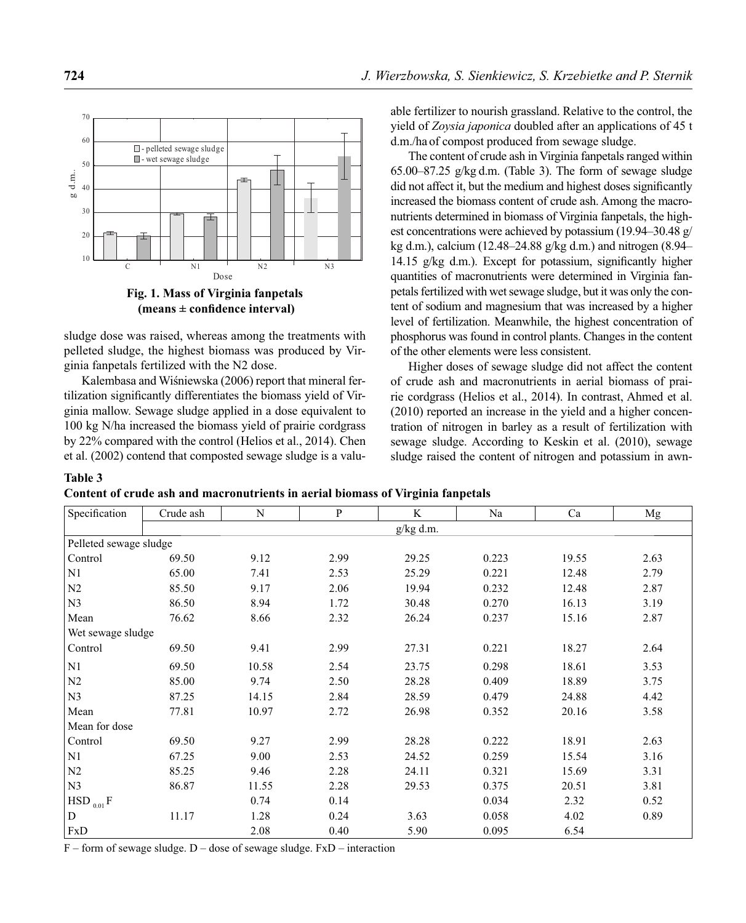

 $(means \pm confidence interval)$ 

sludge dose was raised, whereas among the treatments with pelleted sludge, the highest biomass was produced by Virginia fanpetals fertilized with the N2 dose.

Kalembasa and Wiśniewska (2006) report that mineral fertilization significantly differentiates the biomass yield of Virginia mallow. Sewage sludge applied in a dose equivalent to 100 kg N/ha increased the biomass yield of prairie cordgrass by 22% compared with the control (Helios et al., 2014). Chen et al. (2002) contend that composted sewage sludge is a valuable fertilizer to nourish grassland. Relative to the control, the yield of *Zoysia japonica* doubled after an applications of 45 t d.m./ha of compost produced from sewage sludge.

The content of crude ash in Virginia fanpetals ranged within 65.00–87.25 g/kg d.m. (Table 3). The form of sewage sludge did not affect it, but the medium and highest doses significantly increased the biomass content of crude ash. Among the macronutrients determined in biomass of Virginia fanpetals, the highest concentrations were achieved by potassium (19.94–30.48 g/ kg d.m.), calcium (12.48–24.88 g/kg d.m.) and nitrogen (8.94– 14.15 g/kg d.m.). Except for potassium, significantly higher quantities of macronutrients were determined in Virginia fanpetals fertilized with wet sewage sludge, but it was only the content of sodium and magnesium that was increased by a higher level of fertilization. Meanwhile, the highest concentration of phosphorus was found in control plants. Changes in the content of the other elements were less consistent.

Higher doses of sewage sludge did not affect the content of crude ash and macronutrients in aerial biomass of prairie cordgrass (Helios et al., 2014). In contrast, Ahmed et al. (2010) reported an increase in the yield and a higher concentration of nitrogen in barley as a result of fertilization with sewage sludge. According to Keskin et al. (2010), sewage sludge raised the content of nitrogen and potassium in awn-

#### **Table 3**

**Content of crude ash and macronutrients in aerial biomass of Virginia fanpetals** 

| Specification          | Crude ash | N     | $\mathbf{P}$ | K         | Na    | Ca    | Mg   |  |
|------------------------|-----------|-------|--------------|-----------|-------|-------|------|--|
|                        |           |       |              | g/kg d.m. |       |       |      |  |
| Pelleted sewage sludge |           |       |              |           |       |       |      |  |
| Control                | 69.50     | 9.12  | 2.99         | 29.25     | 0.223 | 19.55 | 2.63 |  |
| N1                     | 65.00     | 7.41  | 2.53         | 25.29     | 0.221 | 12.48 | 2.79 |  |
| N <sub>2</sub>         | 85.50     | 9.17  | 2.06         | 19.94     | 0.232 | 12.48 | 2.87 |  |
| N <sub>3</sub>         | 86.50     | 8.94  | 1.72         | 30.48     | 0.270 | 16.13 | 3.19 |  |
| Mean                   | 76.62     | 8.66  | 2.32         | 26.24     | 0.237 | 15.16 | 2.87 |  |
| Wet sewage sludge      |           |       |              |           |       |       |      |  |
| Control                | 69.50     | 9.41  | 2.99         | 27.31     | 0.221 | 18.27 | 2.64 |  |
| N1                     | 69.50     | 10.58 | 2.54         | 23.75     | 0.298 | 18.61 | 3.53 |  |
| N2                     | 85.00     | 9.74  | 2.50         | 28.28     | 0.409 | 18.89 | 3.75 |  |
| N <sub>3</sub>         | 87.25     | 14.15 | 2.84         | 28.59     | 0.479 | 24.88 | 4.42 |  |
| Mean                   | 77.81     | 10.97 | 2.72         | 26.98     | 0.352 | 20.16 | 3.58 |  |
| Mean for dose          |           |       |              |           |       |       |      |  |
| Control                | 69.50     | 9.27  | 2.99         | 28.28     | 0.222 | 18.91 | 2.63 |  |
| N1                     | 67.25     | 9.00  | 2.53         | 24.52     | 0.259 | 15.54 | 3.16 |  |
| N2                     | 85.25     | 9.46  | 2.28         | 24.11     | 0.321 | 15.69 | 3.31 |  |
| N <sub>3</sub>         | 86.87     | 11.55 | 2.28         | 29.53     | 0.375 | 20.51 | 3.81 |  |
| $HSD_{0.01}F$          |           | 0.74  | 0.14         |           | 0.034 | 2.32  | 0.52 |  |
| ${\bf D}$              | 11.17     | 1.28  | 0.24         | 3.63      | 0.058 | 4.02  | 0.89 |  |
| FxD                    |           | 2.08  | 0.40         | 5.90      | 0.095 | 6.54  |      |  |

 $F$  – form of sewage sludge. D – dose of sewage sludge.  $FxD$  – interaction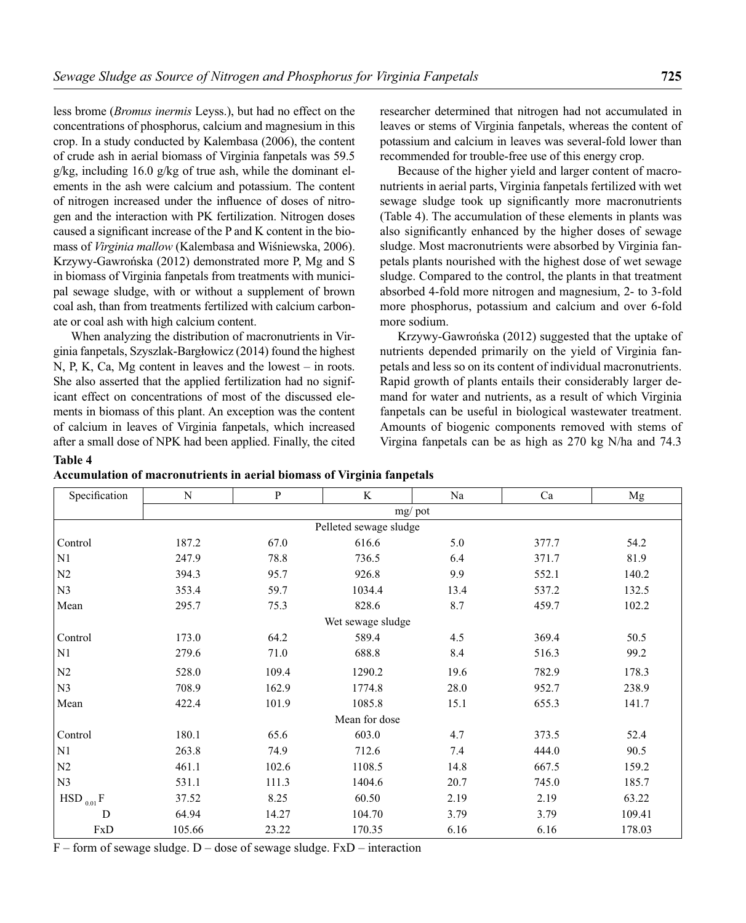less brome (*Bromus inermis* Leyss.), but had no effect on the concentrations of phosphorus, calcium and magnesium in this crop. In a study conducted by Kalembasa (2006), the content of crude ash in aerial biomass of Virginia fanpetals was 59.5 g/kg, including 16.0 g/kg of true ash, while the dominant elements in the ash were calcium and potassium. The content of nitrogen increased under the influence of doses of nitrogen and the interaction with PK fertilization. Nitrogen doses caused a significant increase of the P and K content in the biomass of *Virginia mallow* (Kalembasa and Wiśniewska, 2006). Krzywy-Gawrońska (2012) demonstrated more P, Mg and S in biomass of Virginia fanpetals from treatments with municipal sewage sludge, with or without a supplement of brown coal ash, than from treatments fertilized with calcium carbonate or coal ash with high calcium content.

When analyzing the distribution of macronutrients in Virginia fanpetals, Szyszlak-Bargłowicz (2014) found the highest N, P, K, Ca, Mg content in leaves and the lowest – in roots. She also asserted that the applied fertilization had no significant effect on concentrations of most of the discussed elements in biomass of this plant. An exception was the content of calcium in leaves of Virginia fanpetals, which increased after a small dose of NPK had been applied. Finally, the cited researcher determined that nitrogen had not accumulated in leaves or stems of Virginia fanpetals, whereas the content of potassium and calcium in leaves was several-fold lower than recommended for trouble-free use of this energy crop.

Because of the higher yield and larger content of macronutrients in aerial parts, Virginia fanpetals fertilized with wet sewage sludge took up significantly more macronutrients (Table 4). The accumulation of these elements in plants was also significantly enhanced by the higher doses of sewage sludge. Most macronutrients were absorbed by Virginia fanpetals plants nourished with the highest dose of wet sewage sludge. Compared to the control, the plants in that treatment absorbed 4-fold more nitrogen and magnesium, 2- to 3-fold more phosphorus, potassium and calcium and over 6-fold more sodium.

Krzywy-Gawrońska (2012) suggested that the uptake of nutrients depended primarily on the yield of Virginia fanpetals and less so on its content of individual macronutrients. Rapid growth of plants entails their considerably larger demand for water and nutrients, as a result of which Virginia fanpetals can be useful in biological wastewater treatment. Amounts of biogenic components removed with stems of Virgina fanpetals can be as high as 270 kg N/ha and 74.3

#### **Table 4**

**Accumulation of macronutrients in aerial biomass of Virginia fanpetals**

|                        |       |                   |      |       | Mg     |  |  |  |
|------------------------|-------|-------------------|------|-------|--------|--|--|--|
| $mg$ pot               |       |                   |      |       |        |  |  |  |
| Pelleted sewage sludge |       |                   |      |       |        |  |  |  |
| 187.2                  | 67.0  | 616.6             | 5.0  | 377.7 | 54.2   |  |  |  |
| 247.9                  | 78.8  | 736.5             | 6.4  | 371.7 | 81.9   |  |  |  |
| 394.3                  | 95.7  | 926.8             | 9.9  | 552.1 | 140.2  |  |  |  |
| 353.4                  | 59.7  | 1034.4            | 13.4 | 537.2 | 132.5  |  |  |  |
| 295.7                  | 75.3  | 828.6             | 8.7  | 459.7 | 102.2  |  |  |  |
|                        |       | Wet sewage sludge |      |       |        |  |  |  |
| 173.0                  | 64.2  | 589.4             | 4.5  | 369.4 | 50.5   |  |  |  |
| 279.6                  | 71.0  | 688.8             | 8.4  | 516.3 | 99.2   |  |  |  |
| 528.0                  | 109.4 | 1290.2            | 19.6 | 782.9 | 178.3  |  |  |  |
| 708.9                  | 162.9 | 1774.8            | 28.0 | 952.7 | 238.9  |  |  |  |
| 422.4                  | 101.9 | 1085.8            | 15.1 | 655.3 | 141.7  |  |  |  |
| Mean for dose          |       |                   |      |       |        |  |  |  |
| 180.1                  | 65.6  | 603.0             | 4.7  | 373.5 | 52.4   |  |  |  |
| 263.8                  | 74.9  | 712.6             | 7.4  | 444.0 | 90.5   |  |  |  |
| 461.1                  | 102.6 | 1108.5            | 14.8 | 667.5 | 159.2  |  |  |  |
| 531.1                  | 111.3 | 1404.6            | 20.7 | 745.0 | 185.7  |  |  |  |
| 37.52                  | 8.25  | 60.50             | 2.19 | 2.19  | 63.22  |  |  |  |
| 64.94                  | 14.27 | 104.70            | 3.79 | 3.79  | 109.41 |  |  |  |
| 105.66                 | 23.22 | 170.35            | 6.16 | 6.16  | 178.03 |  |  |  |
|                        | N     | P                 | K    | Na    | Ca     |  |  |  |

 $F$  – form of sewage sludge. D – dose of sewage sludge. FxD – interaction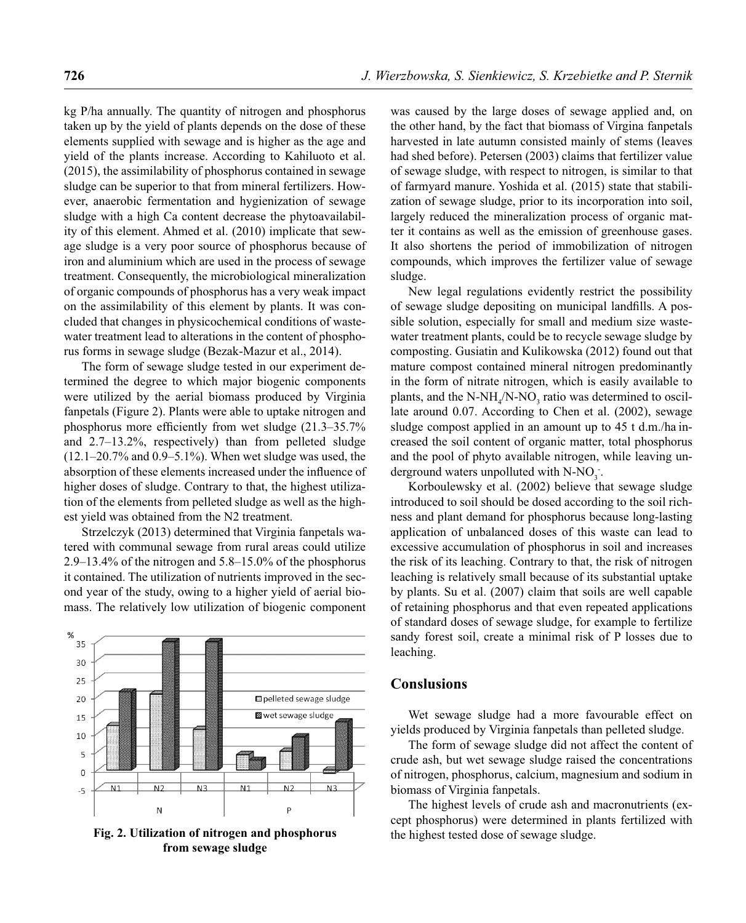kg P/ha annually. The quantity of nitrogen and phosphorus taken up by the yield of plants depends on the dose of these elements supplied with sewage and is higher as the age and yield of the plants increase. According to Kahiluoto et al. (2015), the assimilability of phosphorus contained in sewage sludge can be superior to that from mineral fertilizers. However, anaerobic fermentation and hygienization of sewage sludge with a high Ca content decrease the phytoavailability of this element. Ahmed et al. (2010) implicate that sewage sludge is a very poor source of phosphorus because of iron and aluminium which are used in the process of sewage treatment. Consequently, the microbiological mineralization of organic compounds of phosphorus has a very weak impact on the assimilability of this element by plants. It was concluded that changes in physicochemical conditions of wastewater treatment lead to alterations in the content of phosphorus forms in sewage sludge (Bezak-Mazur et al., 2014).

The form of sewage sludge tested in our experiment determined the degree to which major biogenic components were utilized by the aerial biomass produced by Virginia fanpetals (Figure 2). Plants were able to uptake nitrogen and phosphorus more efficiently from wet sludge  $(21.3-35.7\%)$ and 2.7–13.2%, respectively) than from pelleted sludge (12.1–20.7% and 0.9–5.1%). When wet sludge was used, the absorption of these elements increased under the influence of higher doses of sludge. Contrary to that, the highest utilization of the elements from pelleted sludge as well as the highest yield was obtained from the N2 treatment.

Strzelczyk (2013) determined that Virginia fanpetals watered with communal sewage from rural areas could utilize 2.9–13.4% of the nitrogen and 5.8–15.0% of the phosphorus it contained. The utilization of nutrients improved in the second year of the study, owing to a higher yield of aerial biomass. The relatively low utilization of biogenic component



**Fig. 2. Utilization of nitrogen and phosphorus** the highest tested dose of sewage sludge. **from sewage sludge**

was caused by the large doses of sewage applied and, on the other hand, by the fact that biomass of Virgina fanpetals harvested in late autumn consisted mainly of stems (leaves had shed before). Petersen (2003) claims that fertilizer value of sewage sludge, with respect to nitrogen, is similar to that of farmyard manure. Yoshida et al. (2015) state that stabilization of sewage sludge, prior to its incorporation into soil, largely reduced the mineralization process of organic matter it contains as well as the emission of greenhouse gases. It also shortens the period of immobilization of nitrogen compounds, which improves the fertilizer value of sewage sludge.

New legal regulations evidently restrict the possibility of sewage sludge depositing on municipal landfills. A possible solution, especially for small and medium size wastewater treatment plants, could be to recycle sewage sludge by composting. Gusiatin and Kulikowska (2012) found out that mature compost contained mineral nitrogen predominantly in the form of nitrate nitrogen, which is easily available to plants, and the  $N-NH_4/N-NO_3$  ratio was determined to oscillate around 0.07. According to Chen et al. (2002), sewage sludge compost applied in an amount up to 45 t d.m./ha increased the soil content of organic matter, total phosphorus and the pool of phyto available nitrogen, while leaving underground waters unpolluted with  $N-NO_3$ .

Korboulewsky et al. (2002) believe that sewage sludge introduced to soil should be dosed according to the soil richness and plant demand for phosphorus because long-lasting application of unbalanced doses of this waste can lead to excessive accumulation of phosphorus in soil and increases the risk of its leaching. Contrary to that, the risk of nitrogen leaching is relatively small because of its substantial uptake by plants. Su et al. (2007) claim that soils are well capable of retaining phosphorus and that even repeated applications of standard doses of sewage sludge, for example to fertilize sandy forest soil, create a minimal risk of P losses due to leaching.

### **Conslusions**

Wet sewage sludge had a more favourable effect on yields produced by Virginia fanpetals than pelleted sludge.

The form of sewage sludge did not affect the content of crude ash, but wet sewage sludge raised the concentrations of nitrogen, phosphorus, calcium, magnesium and sodium in biomass of Virginia fanpetals.

The highest levels of crude ash and macronutrients (except phosphorus) were determined in plants fertilized with